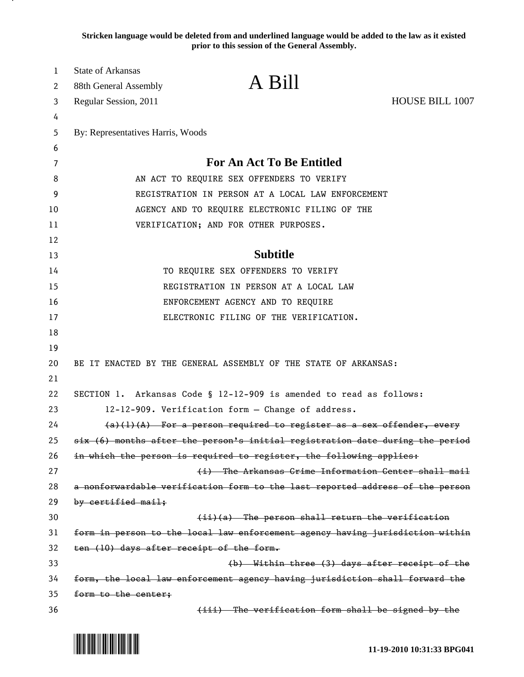**Stricken language would be deleted from and underlined language would be added to the law as it existed prior to this session of the General Assembly.**

| 1        | <b>State of Arkansas</b>                                                                                                    |                                                                                                                                |                 |
|----------|-----------------------------------------------------------------------------------------------------------------------------|--------------------------------------------------------------------------------------------------------------------------------|-----------------|
| 2        | 88th General Assembly                                                                                                       | A Bill                                                                                                                         |                 |
| 3        | Regular Session, 2011                                                                                                       |                                                                                                                                | HOUSE BILL 1007 |
| 4        |                                                                                                                             |                                                                                                                                |                 |
| 5        | By: Representatives Harris, Woods                                                                                           |                                                                                                                                |                 |
| 6        |                                                                                                                             |                                                                                                                                |                 |
| 7        |                                                                                                                             | <b>For An Act To Be Entitled</b>                                                                                               |                 |
| 8        | AN ACT TO REQUIRE SEX OFFENDERS TO VERIFY                                                                                   |                                                                                                                                |                 |
| 9        | REGISTRATION IN PERSON AT A LOCAL LAW ENFORCEMENT                                                                           |                                                                                                                                |                 |
| 10       |                                                                                                                             | AGENCY AND TO REQUIRE ELECTRONIC FILING OF THE                                                                                 |                 |
| 11       |                                                                                                                             | VERIFICATION; AND FOR OTHER PURPOSES.                                                                                          |                 |
| 12       |                                                                                                                             |                                                                                                                                |                 |
| 13       |                                                                                                                             | <b>Subtitle</b>                                                                                                                |                 |
| 14       |                                                                                                                             | TO REQUIRE SEX OFFENDERS TO VERIFY                                                                                             |                 |
| 15       |                                                                                                                             | REGISTRATION IN PERSON AT A LOCAL LAW                                                                                          |                 |
| 16       | ENFORCEMENT AGENCY AND TO REQUIRE                                                                                           |                                                                                                                                |                 |
| 17       |                                                                                                                             | ELECTRONIC FILING OF THE VERIFICATION.                                                                                         |                 |
| 18       |                                                                                                                             |                                                                                                                                |                 |
| 19       |                                                                                                                             |                                                                                                                                |                 |
| 20       |                                                                                                                             | BE IT ENACTED BY THE GENERAL ASSEMBLY OF THE STATE OF ARKANSAS:                                                                |                 |
| 21       |                                                                                                                             |                                                                                                                                |                 |
| 22       |                                                                                                                             | SECTION 1. Arkansas Code § 12-12-909 is amended to read as follows:                                                            |                 |
| 23       | 12-12-909. Verification form - Change of address.<br>$(a)(1)(A)$ For a person required to register as a sex offender, every |                                                                                                                                |                 |
| 24       |                                                                                                                             |                                                                                                                                |                 |
| 25       |                                                                                                                             | six (6) months after the person's initial registration date during the period                                                  |                 |
| 26       |                                                                                                                             | in which the person is required to register, the following applies:                                                            |                 |
| 27       |                                                                                                                             | (i) The Arkansas Crime Information Center shall mail                                                                           |                 |
| 28       |                                                                                                                             | a nonforwardable verification form to the last reported address of the person                                                  |                 |
| 29       | by certified mail;                                                                                                          |                                                                                                                                |                 |
| 30       |                                                                                                                             | (ii)(a) The person shall return the verification                                                                               |                 |
| 31       |                                                                                                                             | form in person to the local law enforcement agency having jurisdiction within                                                  |                 |
| 32       | ten (10) days after receipt of the form.                                                                                    |                                                                                                                                |                 |
| 33<br>34 |                                                                                                                             | (b) Within three (3) days after receipt of the<br>form, the local law enforcement agency having jurisdiction shall forward the |                 |
| 35       | form to the center;                                                                                                         |                                                                                                                                |                 |
| 36       |                                                                                                                             | (iii) The verification form shall be signed by the                                                                             |                 |

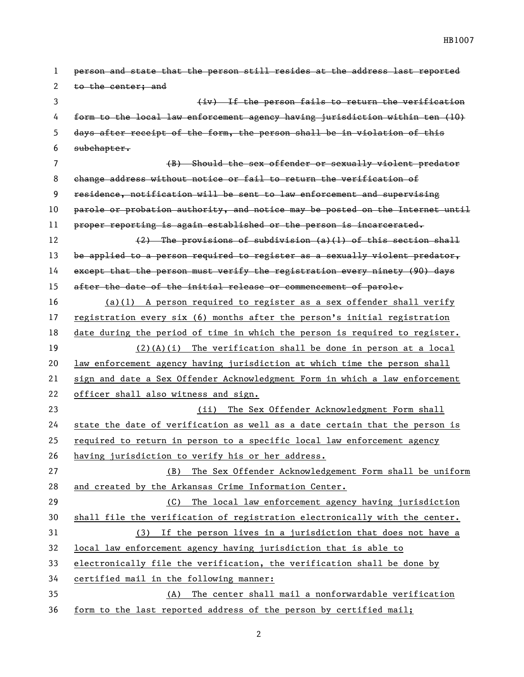person and state that the person still resides at the address last reported 2 to the center; and (iv) If the person fails to return the verification form to the local law enforcement agency having jurisdiction within ten (10) days after receipt of the form, the person shall be in violation of this subchapter. (B) Should the sex offender or sexually violent predator change address without notice or fail to return the verification of residence, notification will be sent to law enforcement and supervising parole or probation authority, and notice may be posted on the Internet until proper reporting is again established or the person is incarcerated.  $(2)$  The provisions of subdivision  $(a)(1)$  of this section shall 13 be applied to a person required to register as a sexually violent predator, except that the person must verify the registration every ninety (90) days 15 after the date of the initial release or commencement of parole. (a)(1) A person required to register as a sex offender shall verify registration every six (6) months after the person's initial registration date during the period of time in which the person is required to register. (2)(A)(i) The verification shall be done in person at a local law enforcement agency having jurisdiction at which time the person shall sign and date a Sex Offender Acknowledgment Form in which a law enforcement officer shall also witness and sign. (ii) The Sex Offender Acknowledgment Form shall state the date of verification as well as a date certain that the person is 25 required to return in person to a specific local law enforcement agency having jurisdiction to verify his or her address. (B) The Sex Offender Acknowledgement Form shall be uniform and created by the Arkansas Crime Information Center. (C) The local law enforcement agency having jurisdiction shall file the verification of registration electronically with the center. (3) If the person lives in a jurisdiction that does not have a local law enforcement agency having jurisdiction that is able to electronically file the verification, the verification shall be done by certified mail in the following manner: (A) The center shall mail a nonforwardable verification form to the last reported address of the person by certified mail;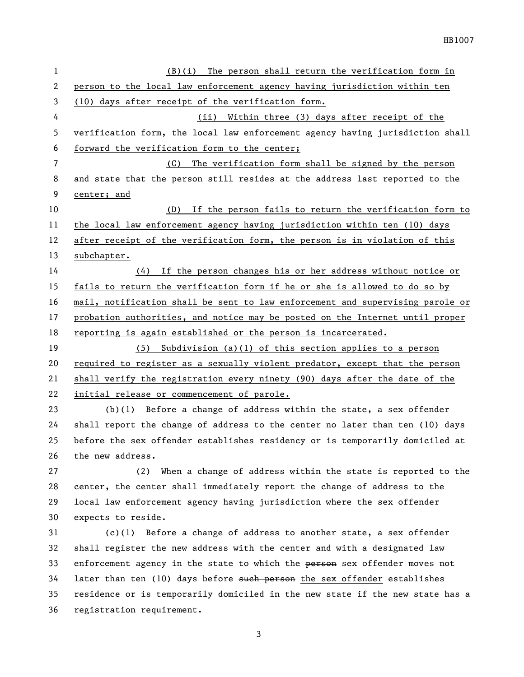| $\mathbf{1}$ | $(B)(i)$ The person shall return the verification form in                     |  |  |
|--------------|-------------------------------------------------------------------------------|--|--|
| 2            | person to the local law enforcement agency having jurisdiction within ten     |  |  |
| 3            | (10) days after receipt of the verification form.                             |  |  |
| 4            | (ii) Within three (3) days after receipt of the                               |  |  |
| 5            | verification form, the local law enforcement agency having jurisdiction shall |  |  |
| 6            | forward the verification form to the center;                                  |  |  |
| 7            | (C) The verification form shall be signed by the person                       |  |  |
| 8            | and state that the person still resides at the address last reported to the   |  |  |
| 9            | center; and                                                                   |  |  |
| 10           | (D) If the person fails to return the verification form to                    |  |  |
| 11           | the local law enforcement agency having jurisdiction within ten (10) days     |  |  |
| 12           | after receipt of the verification form, the person is in violation of this    |  |  |
| 13           | subchapter.                                                                   |  |  |
| 14           | (4) If the person changes his or her address without notice or                |  |  |
| 15           | fails to return the verification form if he or she is allowed to do so by     |  |  |
| 16           | mail, notification shall be sent to law enforcement and supervising parole or |  |  |
| 17           | probation authorities, and notice may be posted on the Internet until proper  |  |  |
| 18           | reporting is again established or the person is incarcerated.                 |  |  |
| 19           | (5) Subdivision (a)(1) of this section applies to a person                    |  |  |
| 20           | required to register as a sexually violent predator, except that the person   |  |  |
| 21           | shall verify the registration every ninety (90) days after the date of the    |  |  |
| 22           | initial release or commencement of parole.                                    |  |  |
| 23           | $(b)(1)$ Before a change of address within the state, a sex offender          |  |  |
| 24           | shall report the change of address to the center no later than ten (10) days  |  |  |
| 25           | before the sex offender establishes residency or is temporarily domiciled at  |  |  |
| 26           | the new address.                                                              |  |  |
| 27           | (2)<br>When a change of address within the state is reported to the           |  |  |
| 28           | center, the center shall immediately report the change of address to the      |  |  |
| 29           | local law enforcement agency having jurisdiction where the sex offender       |  |  |
| 30           | expects to reside.                                                            |  |  |
| 31           | Before a change of address to another state, a sex offender<br>(c)(1)         |  |  |
| 32           | shall register the new address with the center and with a designated law      |  |  |

 shall register the new address with the center and with a designated law 33 enforcement agency in the state to which the person sex offender moves not 34 later than ten (10) days before such person the sex offender establishes residence or is temporarily domiciled in the new state if the new state has a registration requirement.